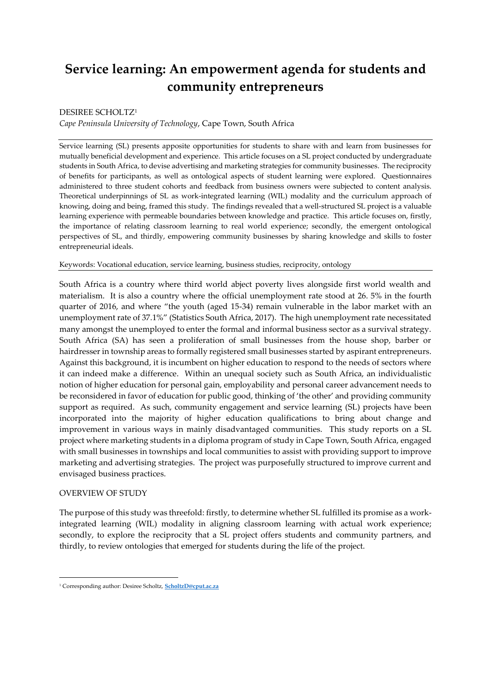# **Service learning: An empowerment agenda for students and community entrepreneurs**

# DESIREE SCHOLTZ<sup>1</sup>

*Cape Peninsula University of Technology*, Cape Town, South Africa

Service learning (SL) presents apposite opportunities for students to share with and learn from businesses for mutually beneficial development and experience. This article focuses on a SL project conducted by undergraduate students in South Africa, to devise advertising and marketing strategies for community businesses. The reciprocity of benefits for participants, as well as ontological aspects of student learning were explored. Questionnaires administered to three student cohorts and feedback from business owners were subjected to content analysis. Theoretical underpinnings of SL as work-integrated learning (WIL) modality and the curriculum approach of knowing, doing and being, framed this study. The findings revealed that a well-structured SL project is a valuable learning experience with permeable boundaries between knowledge and practice. This article focuses on, firstly, the importance of relating classroom learning to real world experience; secondly, the emergent ontological perspectives of SL, and thirdly, empowering community businesses by sharing knowledge and skills to foster entrepreneurial ideals.

# Keywords: Vocational education, service learning, business studies, reciprocity, ontology

South Africa is a country where third world abject poverty lives alongside first world wealth and materialism. It is also a country where the official unemployment rate stood at 26. 5% in the fourth quarter of 2016, and where "the youth (aged 15-34) remain vulnerable in the labor market with an unemployment rate of 37.1%" (Statistics South Africa, 2017). The high unemployment rate necessitated many amongst the unemployed to enter the formal and informal business sector as a survival strategy. South Africa (SA) has seen a proliferation of small businesses from the house shop, barber or hairdresser in township areas to formally registered small businesses started by aspirant entrepreneurs. Against this background, it is incumbent on higher education to respond to the needs of sectors where it can indeed make a difference. Within an unequal society such as South Africa, an individualistic notion of higher education for personal gain, employability and personal career advancement needs to be reconsidered in favor of education for public good, thinking of 'the other' and providing community support as required. As such, community engagement and service learning (SL) projects have been incorporated into the majority of higher education qualifications to bring about change and improvement in various ways in mainly disadvantaged communities. This study reports on a SL project where marketing students in a diploma program of study in Cape Town, South Africa, engaged with small businesses in townships and local communities to assist with providing support to improve marketing and advertising strategies. The project was purposefully structured to improve current and envisaged business practices.

# OVERVIEW OF STUDY

1

The purpose of this study was threefold: firstly, to determine whether SL fulfilled its promise as a workintegrated learning (WIL) modality in aligning classroom learning with actual work experience; secondly, to explore the reciprocity that a SL project offers students and community partners, and thirdly, to review ontologies that emerged for students during the life of the project.

<sup>1</sup> Corresponding author: Desiree Scholtz, **[ScholtzD@cput.ac.za](mailto:ScholtzD@cput.ac.za)**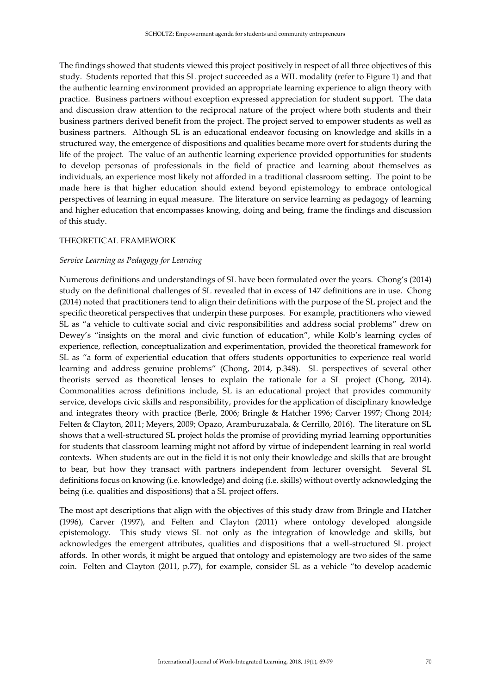The findings showed that students viewed this project positively in respect of all three objectives of this study. Students reported that this SL project succeeded as a WIL modality (refer to Figure 1) and that the authentic learning environment provided an appropriate learning experience to align theory with practice. Business partners without exception expressed appreciation for student support. The data and discussion draw attention to the reciprocal nature of the project where both students and their business partners derived benefit from the project. The project served to empower students as well as business partners. Although SL is an educational endeavor focusing on knowledge and skills in a structured way, the emergence of dispositions and qualities became more overt for students during the life of the project. The value of an authentic learning experience provided opportunities for students to develop personas of professionals in the field of practice and learning about themselves as individuals, an experience most likely not afforded in a traditional classroom setting. The point to be made here is that higher education should extend beyond epistemology to embrace ontological perspectives of learning in equal measure. The literature on service learning as pedagogy of learning and higher education that encompasses knowing, doing and being, frame the findings and discussion of this study.

#### THEORETICAL FRAMEWORK

#### *Service Learning as Pedagogy for Learning*

Numerous definitions and understandings of SL have been formulated over the years. Chong's (2014) study on the definitional challenges of SL revealed that in excess of 147 definitions are in use. Chong (2014) noted that practitioners tend to align their definitions with the purpose of the SL project and the specific theoretical perspectives that underpin these purposes. For example, practitioners who viewed SL as "a vehicle to cultivate social and civic responsibilities and address social problems" drew on Dewey's "insights on the moral and civic function of education", while Kolb's learning cycles of experience, reflection, conceptualization and experimentation, provided the theoretical framework for SL as "a form of experiential education that offers students opportunities to experience real world learning and address genuine problems" (Chong, 2014, p.348). SL perspectives of several other theorists served as theoretical lenses to explain the rationale for a SL project (Chong, 2014). Commonalities across definitions include, SL is an educational project that provides community service, develops civic skills and responsibility, provides for the application of disciplinary knowledge and integrates theory with practice (Berle, 2006; Bringle & Hatcher 1996; Carver 1997; Chong 2014; Felten & Clayton, 2011; Meyers, 2009; Opazo, Aramburuzabala, & Cerrillo, 2016). The literature on SL shows that a well-structured SL project holds the promise of providing myriad learning opportunities for students that classroom learning might not afford by virtue of independent learning in real world contexts. When students are out in the field it is not only their knowledge and skills that are brought to bear, but how they transact with partners independent from lecturer oversight. Several SL definitions focus on knowing (i.e. knowledge) and doing (i.e. skills) without overtly acknowledging the being (i.e. qualities and dispositions) that a SL project offers.

The most apt descriptions that align with the objectives of this study draw from Bringle and Hatcher (1996), Carver (1997), and Felten and Clayton (2011) where ontology developed alongside epistemology. This study views SL not only as the integration of knowledge and skills, but acknowledges the emergent attributes, qualities and dispositions that a well-structured SL project affords. In other words, it might be argued that ontology and epistemology are two sides of the same coin. Felten and Clayton (2011, p.77), for example, consider SL as a vehicle "to develop academic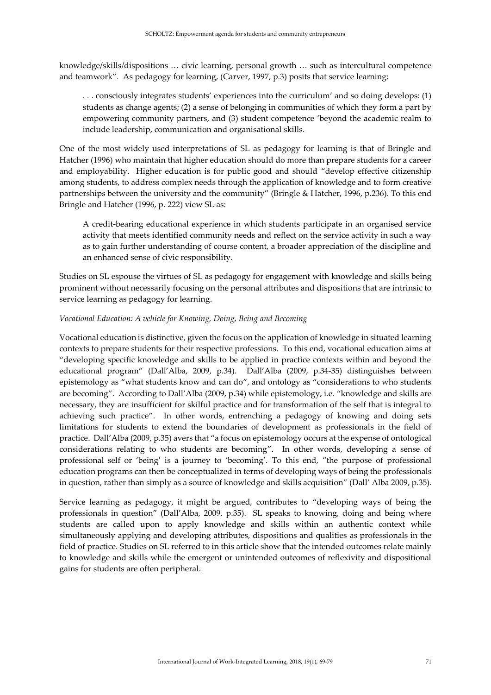knowledge/skills/dispositions … civic learning, personal growth … such as intercultural competence and teamwork". As pedagogy for learning, (Carver, 1997, p.3) posits that service learning:

. . . consciously integrates students' experiences into the curriculum' and so doing develops: (1) students as change agents; (2) a sense of belonging in communities of which they form a part by empowering community partners, and (3) student competence 'beyond the academic realm to include leadership, communication and organisational skills.

One of the most widely used interpretations of SL as pedagogy for learning is that of Bringle and Hatcher (1996) who maintain that higher education should do more than prepare students for a career and employability. Higher education is for public good and should "develop effective citizenship among students, to address complex needs through the application of knowledge and to form creative partnerships between the university and the community" (Bringle & Hatcher, 1996, p.236). To this end Bringle and Hatcher (1996, p. 222) view SL as:

A credit-bearing educational experience in which students participate in an organised service activity that meets identified community needs and reflect on the service activity in such a way as to gain further understanding of course content, a broader appreciation of the discipline and an enhanced sense of civic responsibility.

Studies on SL espouse the virtues of SL as pedagogy for engagement with knowledge and skills being prominent without necessarily focusing on the personal attributes and dispositions that are intrinsic to service learning as pedagogy for learning.

# *Vocational Education: A vehicle for Knowing, Doing, Being and Becoming*

Vocational education is distinctive, given the focus on the application of knowledge in situated learning contexts to prepare students for their respective professions. To this end, vocational education aims at "developing specific knowledge and skills to be applied in practice contexts within and beyond the educational program" (Dall'Alba, 2009, p.34). Dall'Alba (2009, p.34-35) distinguishes between epistemology as "what students know and can do", and ontology as "considerations to who students are becoming". According to Dall'Alba (2009, p.34) while epistemology, i.e. "knowledge and skills are necessary, they are insufficient for skilful practice and for transformation of the self that is integral to achieving such practice". In other words, entrenching a pedagogy of knowing and doing sets limitations for students to extend the boundaries of development as professionals in the field of practice. Dall'Alba (2009, p.35) avers that "a focus on epistemology occurs at the expense of ontological considerations relating to who students are becoming". In other words, developing a sense of professional self or 'being' is a journey to 'becoming'. To this end, "the purpose of professional education programs can then be conceptualized in terms of developing ways of being the professionals in question, rather than simply as a source of knowledge and skills acquisition" (Dall' Alba 2009, p.35).

Service learning as pedagogy, it might be argued, contributes to "developing ways of being the professionals in question" (Dall'Alba, 2009, p.35). SL speaks to knowing, doing and being where students are called upon to apply knowledge and skills within an authentic context while simultaneously applying and developing attributes, dispositions and qualities as professionals in the field of practice. Studies on SL referred to in this article show that the intended outcomes relate mainly to knowledge and skills while the emergent or unintended outcomes of reflexivity and dispositional gains for students are often peripheral.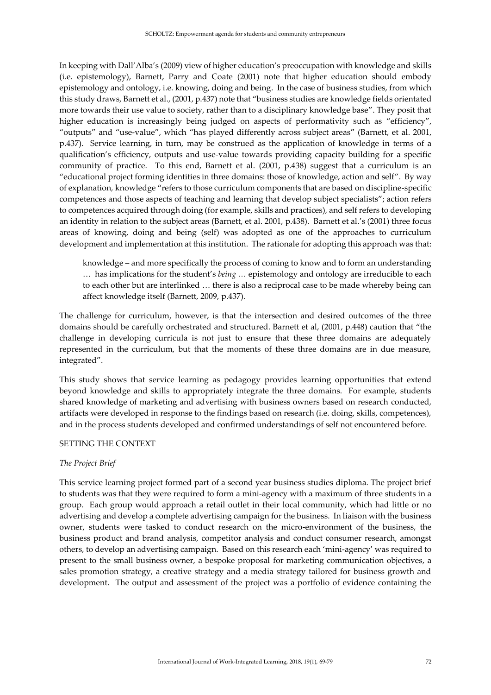In keeping with Dall'Alba's (2009) view of higher education's preoccupation with knowledge and skills (i.e. epistemology), Barnett, Parry and Coate (2001) note that higher education should embody epistemology and ontology, i.e. knowing, doing and being. In the case of business studies, from which this study draws, Barnett et al., (2001, p.437) note that "business studies are knowledge fields orientated more towards their use value to society, rather than to a disciplinary knowledge base". They posit that higher education is increasingly being judged on aspects of performativity such as "efficiency", "outputs" and "use-value", which "has played differently across subject areas" (Barnett, et al. 2001, p.437). Service learning, in turn, may be construed as the application of knowledge in terms of a qualification's efficiency, outputs and use-value towards providing capacity building for a specific community of practice. To this end, Barnett et al. (2001, p.438) suggest that a curriculum is an "educational project forming identities in three domains: those of knowledge, action and self". By way of explanation*,* knowledge "refers to those curriculum components that are based on discipline-specific competences and those aspects of teaching and learning that develop subject specialists"; action refers to competences acquired through doing (for example, skills and practices), and self refers to developing an identity in relation to the subject areas (Barnett, et al. 2001, p.438). Barnett et al.'s (2001) three focus areas of knowing, doing and being (self) was adopted as one of the approaches to curriculum development and implementation at this institution. The rationale for adopting this approach was that:

knowledge – and more specifically the process of coming to know and to form an understanding … has implications for the student's *being …* epistemology and ontology are irreducible to each to each other but are interlinked … there is also a reciprocal case to be made whereby being can affect knowledge itself (Barnett, 2009, p.437).

The challenge for curriculum, however, is that the intersection and desired outcomes of the three domains should be carefully orchestrated and structured. Barnett et al, (2001, p.448) caution that "the challenge in developing curricula is not just to ensure that these three domains are adequately represented in the curriculum, but that the moments of these three domains are in due measure, integrated".

This study shows that service learning as pedagogy provides learning opportunities that extend beyond knowledge and skills to appropriately integrate the three domains. For example, students shared knowledge of marketing and advertising with business owners based on research conducted, artifacts were developed in response to the findings based on research (i.e. doing, skills, competences), and in the process students developed and confirmed understandings of self not encountered before.

#### SETTING THE CONTEXT

#### *The Project Brief*

This service learning project formed part of a second year business studies diploma. The project brief to students was that they were required to form a mini-agency with a maximum of three students in a group. Each group would approach a retail outlet in their local community, which had little or no advertising and develop a complete advertising campaign for the business. In liaison with the business owner, students were tasked to conduct research on the micro-environment of the business, the business product and brand analysis, competitor analysis and conduct consumer research, amongst others, to develop an advertising campaign. Based on this research each 'mini-agency' was required to present to the small business owner, a bespoke proposal for marketing communication objectives, a sales promotion strategy, a creative strategy and a media strategy tailored for business growth and development. The output and assessment of the project was a portfolio of evidence containing the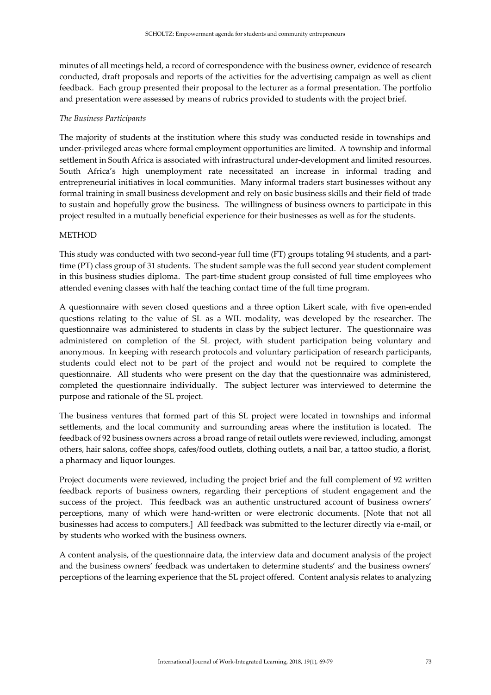minutes of all meetings held, a record of correspondence with the business owner, evidence of research conducted, draft proposals and reports of the activities for the advertising campaign as well as client feedback. Each group presented their proposal to the lecturer as a formal presentation. The portfolio and presentation were assessed by means of rubrics provided to students with the project brief.

#### *The Business Participants*

The majority of students at the institution where this study was conducted reside in townships and under-privileged areas where formal employment opportunities are limited. A township and informal settlement in South Africa is associated with infrastructural under-development and limited resources. South Africa's high unemployment rate necessitated an increase in informal trading and entrepreneurial initiatives in local communities. Many informal traders start businesses without any formal training in small business development and rely on basic business skills and their field of trade to sustain and hopefully grow the business. The willingness of business owners to participate in this project resulted in a mutually beneficial experience for their businesses as well as for the students.

# **METHOD**

This study was conducted with two second-year full time (FT) groups totaling 94 students, and a parttime (PT) class group of 31 students. The student sample was the full second year student complement in this business studies diploma. The part-time student group consisted of full time employees who attended evening classes with half the teaching contact time of the full time program.

A questionnaire with seven closed questions and a three option Likert scale, with five open-ended questions relating to the value of SL as a WIL modality, was developed by the researcher. The questionnaire was administered to students in class by the subject lecturer. The questionnaire was administered on completion of the SL project, with student participation being voluntary and anonymous. In keeping with research protocols and voluntary participation of research participants, students could elect not to be part of the project and would not be required to complete the questionnaire. All students who were present on the day that the questionnaire was administered, completed the questionnaire individually. The subject lecturer was interviewed to determine the purpose and rationale of the SL project.

The business ventures that formed part of this SL project were located in townships and informal settlements, and the local community and surrounding areas where the institution is located. The feedback of 92 business owners across a broad range of retail outlets were reviewed, including, amongst others, hair salons, coffee shops, cafes/food outlets, clothing outlets, a nail bar, a tattoo studio, a florist, a pharmacy and liquor lounges.

Project documents were reviewed, including the project brief and the full complement of 92 written feedback reports of business owners, regarding their perceptions of student engagement and the success of the project. This feedback was an authentic unstructured account of business owners' perceptions, many of which were hand-written or were electronic documents. [Note that not all businesses had access to computers.] All feedback was submitted to the lecturer directly via e-mail, or by students who worked with the business owners.

A content analysis, of the questionnaire data, the interview data and document analysis of the project and the business owners' feedback was undertaken to determine students' and the business owners' perceptions of the learning experience that the SL project offered. Content analysis relates to analyzing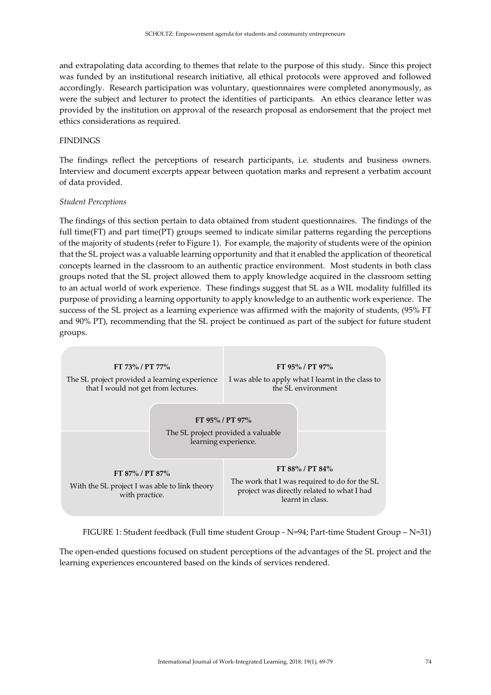and extrapolating data according to themes that relate to the purpose of this study. Since this project was funded by an institutional research initiative, all ethical protocols were approved and followed accordingly. Research participation was voluntary, questionnaires were completed anonymously, as were the subject and lecturer to protect the identities of participants. An ethics clearance letter was provided by the institution on approval of the research proposal as endorsement that the project met ethics considerations as required.

#### FINDINGS

The findings reflect the perceptions of research participants, i.e. students and business owners. Interview and document excerpts appear between quotation marks and represent a verbatim account of data provided.

#### *Student Perceptions*

The findings of this section pertain to data obtained from student questionnaires. The findings of the full time(FT) and part time(PT) groups seemed to indicate similar patterns regarding the perceptions of the majority of students (refer to Figure 1). For example, the majority of students were of the opinion that the SL project was a valuable learning opportunity and that it enabled the application of theoretical concepts learned in the classroom to an authentic practice environment. Most students in both class groups noted that the SL project allowed them to apply knowledge acquired in the classroom setting to an actual world of work experience. These findings suggest that SL as a WIL modality fulfilled its purpose of providing a learning opportunity to apply knowledge to an authentic work experience. The success of the SL project as a learning experience was affirmed with the majority of students, (95% FT and 90% PT), recommending that the SL project be continued as part of the subject for future student groups.



FIGURE 1: Student feedback (Full time student Group - N=94; Part-time Student Group – N=31)

The open-ended questions focused on student perceptions of the advantages of the SL project and the learning experiences encountered based on the kinds of services rendered.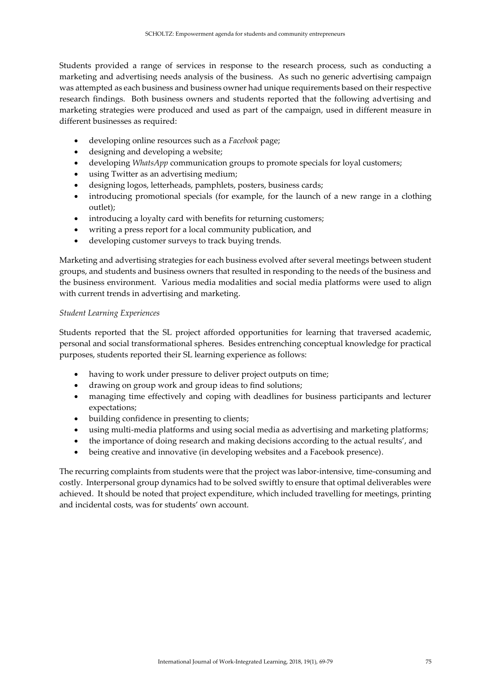Students provided a range of services in response to the research process, such as conducting a marketing and advertising needs analysis of the business. As such no generic advertising campaign was attempted as each business and business owner had unique requirements based on their respective research findings. Both business owners and students reported that the following advertising and marketing strategies were produced and used as part of the campaign, used in different measure in different businesses as required:

- developing online resources such as a *Facebook* page;
- designing and developing a website;
- developing *WhatsApp* communication groups to promote specials for loyal customers;
- using Twitter as an advertising medium;
- designing logos, letterheads, pamphlets, posters, business cards;
- introducing promotional specials (for example, for the launch of a new range in a clothing outlet);
- introducing a loyalty card with benefits for returning customers;
- writing a press report for a local community publication, and
- developing customer surveys to track buying trends.

Marketing and advertising strategies for each business evolved after several meetings between student groups, and students and business owners that resulted in responding to the needs of the business and the business environment. Various media modalities and social media platforms were used to align with current trends in advertising and marketing.

# *Student Learning Experiences*

Students reported that the SL project afforded opportunities for learning that traversed academic, personal and social transformational spheres. Besides entrenching conceptual knowledge for practical purposes, students reported their SL learning experience as follows:

- having to work under pressure to deliver project outputs on time;
- drawing on group work and group ideas to find solutions;
- managing time effectively and coping with deadlines for business participants and lecturer expectations;
- building confidence in presenting to clients;
- using multi-media platforms and using social media as advertising and marketing platforms;
- the importance of doing research and making decisions according to the actual results', and
- being creative and innovative (in developing websites and a Facebook presence).

The recurring complaints from students were that the project was labor-intensive, time-consuming and costly. Interpersonal group dynamics had to be solved swiftly to ensure that optimal deliverables were achieved. It should be noted that project expenditure, which included travelling for meetings, printing and incidental costs, was for students' own account.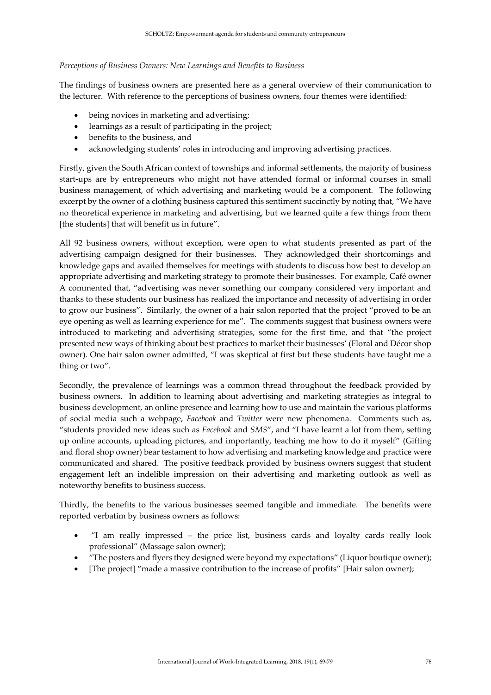#### *Perceptions of Business Owners: New Learnings and Benefits to Business*

The findings of business owners are presented here as a general overview of their communication to the lecturer. With reference to the perceptions of business owners, four themes were identified:

- being novices in marketing and advertising;
- learnings as a result of participating in the project;
- benefits to the business, and
- acknowledging students' roles in introducing and improving advertising practices.

Firstly, given the South African context of townships and informal settlements, the majority of business start-ups are by entrepreneurs who might not have attended formal or informal courses in small business management, of which advertising and marketing would be a component. The following excerpt by the owner of a clothing business captured this sentiment succinctly by noting that, "We have no theoretical experience in marketing and advertising, but we learned quite a few things from them [the students] that will benefit us in future".

All 92 business owners, without exception, were open to what students presented as part of the advertising campaign designed for their businesses. They acknowledged their shortcomings and knowledge gaps and availed themselves for meetings with students to discuss how best to develop an appropriate advertising and marketing strategy to promote their businesses. For example, Café owner A commented that, "advertising was never something our company considered very important and thanks to these students our business has realized the importance and necessity of advertising in order to grow our business". Similarly, the owner of a hair salon reported that the project "proved to be an eye opening as well as learning experience for me". The comments suggest that business owners were introduced to marketing and advertising strategies, some for the first time, and that "the project presented new ways of thinking about best practices to market their businesses' (Floral and Décor shop owner)*.* One hair salon owner admitted, "I was skeptical at first but these students have taught me a thing or two".

Secondly, the prevalence of learnings was a common thread throughout the feedback provided by business owners. In addition to learning about advertising and marketing strategies as integral to business development, an online presence and learning how to use and maintain the various platforms of social media such a webpage, *Facebook* and *Twitter* were new phenomena. Comments such as, "students provided new ideas such as *Facebook* and *SMS*", and "I have learnt a lot from them, setting up online accounts, uploading pictures, and importantly, teaching me how to do it myself" (Gifting and floral shop owner) bear testament to how advertising and marketing knowledge and practice were communicated and shared. The positive feedback provided by business owners suggest that student engagement left an indelible impression on their advertising and marketing outlook as well as noteworthy benefits to business success.

Thirdly, the benefits to the various businesses seemed tangible and immediate. The benefits were reported verbatim by business owners as follows:

- "I am really impressed the price list, business cards and loyalty cards really look professional" (Massage salon owner);
- "The posters and flyers they designed were beyond my expectations" (Liquor boutique owner);
- [The project] "made a massive contribution to the increase of profits" [Hair salon owner);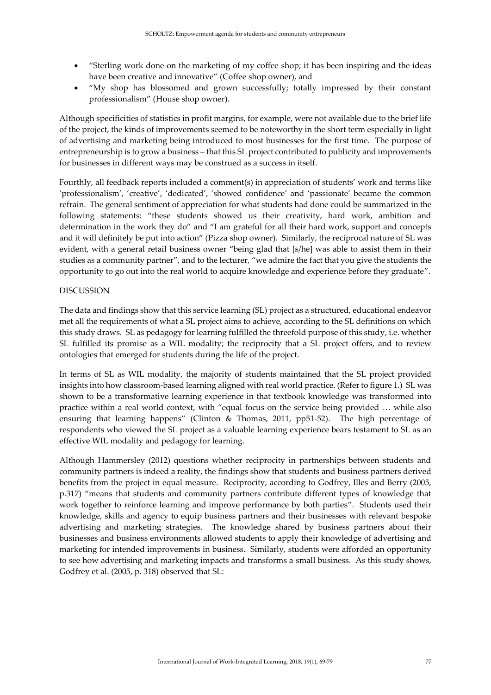- "Sterling work done on the marketing of my coffee shop; it has been inspiring and the ideas have been creative and innovative" (Coffee shop owner), and
- "My shop has blossomed and grown successfully; totally impressed by their constant professionalism" (House shop owner).

Although specificities of statistics in profit margins, for example, were not available due to the brief life of the project, the kinds of improvements seemed to be noteworthy in the short term especially in light of advertising and marketing being introduced to most businesses for the first time. The purpose of entrepreneurship is to grow a business – that this SL project contributed to publicity and improvements for businesses in different ways may be construed as a success in itself.

Fourthly, all feedback reports included a comment(s) in appreciation of students' work and terms like 'professionalism', 'creative', 'dedicated', 'showed confidence' and 'passionate' became the common refrain. The general sentiment of appreciation for what students had done could be summarized in the following statements: "these students showed us their creativity, hard work, ambition and determination in the work they do" and "I am grateful for all their hard work, support and concepts and it will definitely be put into action" (Pizza shop owner). Similarly, the reciprocal nature of SL was evident, with a general retail business owner "being glad that [s/he] was able to assist them in their studies as a community partner", and to the lecturer, "we admire the fact that you give the students the opportunity to go out into the real world to acquire knowledge and experience before they graduate".

#### **DISCUSSION**

The data and findings show that this service learning (SL) project as a structured, educational endeavor met all the requirements of what a SL project aims to achieve, according to the SL definitions on which this study draws. SL as pedagogy for learning fulfilled the threefold purpose of this study, i.e. whether SL fulfilled its promise as a WIL modality; the reciprocity that a SL project offers, and to review ontologies that emerged for students during the life of the project.

In terms of SL as WIL modality, the majority of students maintained that the SL project provided insights into how classroom-based learning aligned with real world practice. (Refer to figure 1.) SL was shown to be a transformative learning experience in that textbook knowledge was transformed into practice within a real world context, with "equal focus on the service being provided … while also ensuring that learning happens" (Clinton & Thomas, 2011, pp51-52). The high percentage of respondents who viewed the SL project as a valuable learning experience bears testament to SL as an effective WIL modality and pedagogy for learning.

Although Hammersley (2012) questions whether reciprocity in partnerships between students and community partners is indeed a reality, the findings show that students and business partners derived benefits from the project in equal measure. Reciprocity, according to Godfrey, Illes and Berry (2005, p.317) "means that students and community partners contribute different types of knowledge that work together to reinforce learning and improve performance by both parties". Students used their knowledge, skills and agency to equip business partners and their businesses with relevant bespoke advertising and marketing strategies. The knowledge shared by business partners about their businesses and business environments allowed students to apply their knowledge of advertising and marketing for intended improvements in business. Similarly, students were afforded an opportunity to see how advertising and marketing impacts and transforms a small business. As this study shows, Godfrey et al. (2005, p. 318) observed that SL: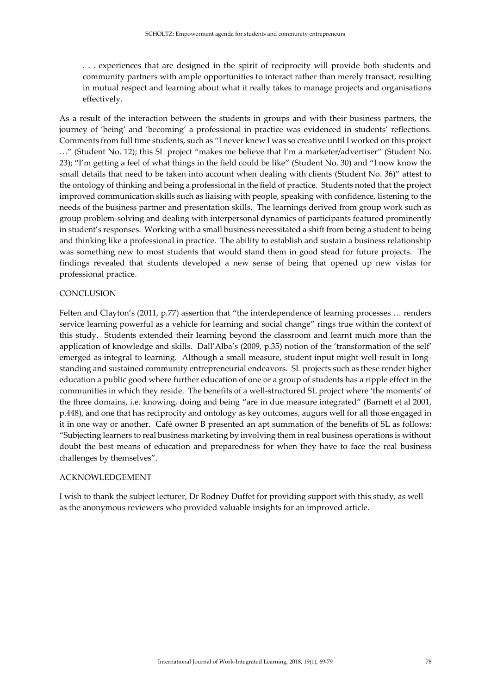. . . experiences that are designed in the spirit of reciprocity will provide both students and community partners with ample opportunities to interact rather than merely transact, resulting in mutual respect and learning about what it really takes to manage projects and organisations effectively.

As a result of the interaction between the students in groups and with their business partners, the journey of 'being' and 'becoming' a professional in practice was evidenced in students' reflections. Comments from full time students, such as "I never knew I was so creative until I worked on this project …" (Student No. 12); this SL project "makes me believe that I'm a marketer/advertiser" (Student No. 23); "I'm getting a feel of what things in the field could be like" (Student No. 30) and "I now know the small details that need to be taken into account when dealing with clients (Student No. 36)" attest to the ontology of thinking and being a professional in the field of practice. Students noted that the project improved communication skills such as liaising with people, speaking with confidence, listening to the needs of the business partner and presentation skills. The learnings derived from group work such as group problem-solving and dealing with interpersonal dynamics of participants featured prominently in student's responses. Working with a small business necessitated a shift from being a student to being and thinking like a professional in practice. The ability to establish and sustain a business relationship was something new to most students that would stand them in good stead for future projects. The findings revealed that students developed a new sense of being that opened up new vistas for professional practice.

### **CONCLUSION**

Felten and Clayton's (2011, p.77) assertion that "the interdependence of learning processes … renders service learning powerful as a vehicle for learning and social change" rings true within the context of this study. Students extended their learning beyond the classroom and learnt much more than the application of knowledge and skills. Dall'Alba's (2009, p.35) notion of the 'transformation of the self' emerged as integral to learning. Although a small measure, student input might well result in longstanding and sustained community entrepreneurial endeavors. SL projects such as these render higher education a public good where further education of one or a group of students has a ripple effect in the communities in which they reside. The benefits of a well-structured SL project where 'the moments' of the three domains, i.e. knowing, doing and being "are in due measure integrated" (Barnett et al 2001, p.448), and one that has reciprocity and ontology as key outcomes, augurs well for all those engaged in it in one way or another. Café owner B presented an apt summation of the benefits of SL as follows: "Subjecting learners to real business marketing by involving them in real business operations is without doubt the best means of education and preparedness for when they have to face the real business challenges by themselves".

#### ACKNOWLEDGEMENT

I wish to thank the subject lecturer, Dr Rodney Duffet for providing support with this study, as well as the anonymous reviewers who provided valuable insights for an improved article.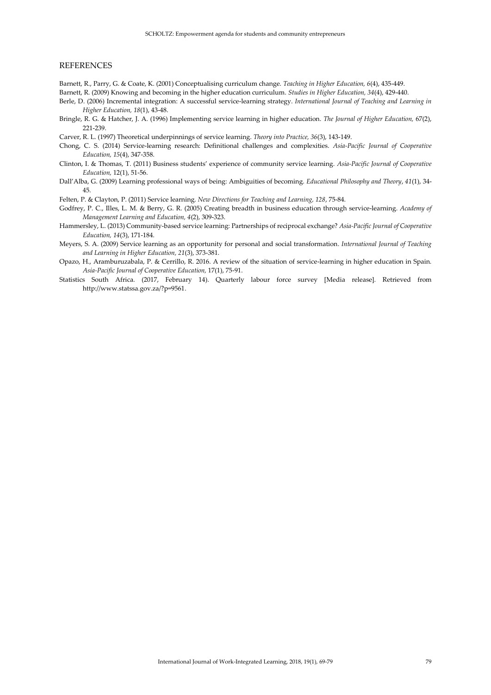#### **REFERENCES**

Barnett, R., Parry, G. & Coate, K. (2001) Conceptualising curriculum change. *Teaching in Higher Education, 6*(4), 435-449.

Barnett, R. (2009) Knowing and becoming in the higher education curriculum. *Studies in Higher Education, 34*(4), 429-440.

- Berle, D. (2006) Incremental integration: A successful service-learning strategy. *International Journal of Teaching and Learning in Higher Education, 18*(1), 43-48.
- Bringle, R. G. & Hatcher, J. A. (1996) Implementing service learning in higher education. *The Journal of Higher Education,* 67(2), 221-239.
- Carver, R. L. (1997) Theoretical underpinnings of service learning. *Theory into Practice, 36*(3), 143-149.
- Chong, C. S. (2014) Service-learning research: Definitional challenges and complexities. *Asia-Pacific Journal of Cooperative Education, 15*(4), 347-358.
- Clinton, I. & Thomas, T. (2011) Business students' experience of community service learning. *Asia-Pacific Journal of Cooperative Education,* 12(1), 51-56.
- Dall'Alba, G. (2009) Learning professional ways of being: Ambiguities of becoming. *Educational Philosophy and Theory*, *41*(1), 34- 45.
- Felten, P. & Clayton, P. (2011) Service learning. *New Directions for Teaching and Learning, 128*, 75-84.
- Godfrey, P. C., Illes, L. M. & Berry, G. R. (2005) Creating breadth in business education through service-learning. *Academy of Management Learning and Education, 4*(2), 309-323.
- Hammersley, L. (2013) Community-based service learning: Partnerships of reciprocal exchange? *Asia-Pacific Journal of Cooperative Education, 14*(3), 171-184.
- Meyers, S. A. (2009) Service learning as an opportunity for personal and social transformation. *International Journal of Teaching and Learning in Higher Education, 21*(3), 373-381.
- Opazo, H., Aramburuzabala, P. & Cerrillo, R. 2016. A review of the situation of service-learning in higher education in Spain. *Asia-Pacific Journal of Cooperative Education,* 17(1), 75-91.
- Statistics South Africa. (2017, February 14). Quarterly labour force survey [Media release]. Retrieved from [http://www.statssa.gov.za/?p=9561.](http://www.statssa.gov.za/?p=9561)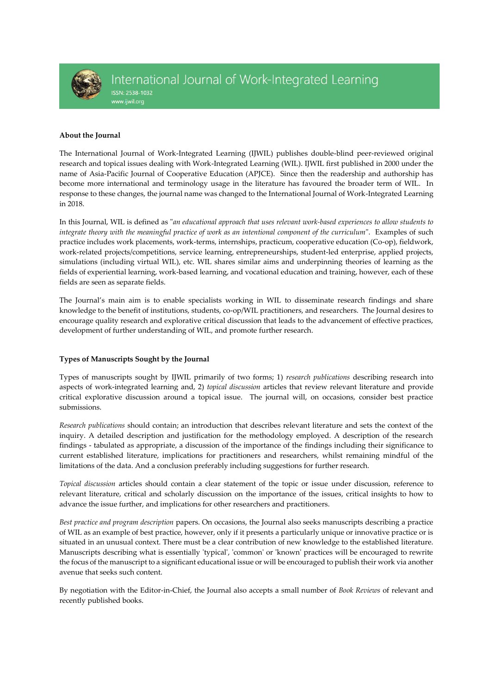

#### **About the Journal**

The International Journal of Work-Integrated Learning (IJWIL) publishes double-blind peer-reviewed original research and topical issues dealing with Work-Integrated Learning (WIL). IJWIL first published in 2000 under the name of Asia-Pacific Journal of Cooperative Education (APJCE). Since then the readership and authorship has become more international and terminology usage in the literature has favoured the broader term of WIL. In response to these changes, the journal name was changed to the International Journal of Work-Integrated Learning in 2018.

In this Journal, WIL is defined as "*an educational approach that uses relevant work-based experiences to allow students to integrate theory with the meaningful practice of work as an intentional component of the curriculum*". Examples of such practice includes work placements, work-terms, internships, practicum, cooperative education (Co-op), fieldwork, work-related projects/competitions, service learning, entrepreneurships, student-led enterprise, applied projects, simulations (including virtual WIL), etc. WIL shares similar aims and underpinning theories of learning as the fields of experiential learning, work-based learning, and vocational education and training, however, each of these fields are seen as separate fields.

The Journal's main aim is to enable specialists working in WIL to disseminate research findings and share knowledge to the benefit of institutions, students, co-op/WIL practitioners, and researchers. The Journal desires to encourage quality research and explorative critical discussion that leads to the advancement of effective practices, development of further understanding of WIL, and promote further research.

#### **Types of Manuscripts Sought by the Journal**

Types of manuscripts sought by IJWIL primarily of two forms; 1) *research publications* describing research into aspects of work-integrated learning and, 2) *topical discussion* articles that review relevant literature and provide critical explorative discussion around a topical issue. The journal will, on occasions, consider best practice submissions.

*Research publications* should contain; an introduction that describes relevant literature and sets the context of the inquiry. A detailed description and justification for the methodology employed. A description of the research findings - tabulated as appropriate, a discussion of the importance of the findings including their significance to current established literature, implications for practitioners and researchers, whilst remaining mindful of the limitations of the data. And a conclusion preferably including suggestions for further research.

*Topical discussion* articles should contain a clear statement of the topic or issue under discussion, reference to relevant literature, critical and scholarly discussion on the importance of the issues, critical insights to how to advance the issue further, and implications for other researchers and practitioners.

*Best practice and program description* papers. On occasions, the Journal also seeks manuscripts describing a practice of WIL as an example of best practice, however, only if it presents a particularly unique or innovative practice or is situated in an unusual context. There must be a clear contribution of new knowledge to the established literature. Manuscripts describing what is essentially 'typical', 'common' or 'known' practices will be encouraged to rewrite the focus of the manuscript to a significant educational issue or will be encouraged to publish their work via another avenue that seeks such content.

By negotiation with the Editor-in-Chief, the Journal also accepts a small number of *Book Reviews* of relevant and recently published books.